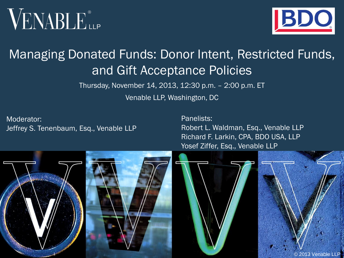



#### Managing Donated Funds: Donor Intent, Restricted Funds, and Gift Acceptance Policies

Thursday, November 14, 2013, 12:30 p.m. – 2:00 p.m. ET

Venable LLP, Washington, DC

Moderator: Jeffrey S. Tenenbaum, Esq., Venable LLP Panelists: Robert L. Waldman, Esq., Venable LLP Richard F. Larkin, CPA, BDO USA, LLP Yosef Ziffer, Esq., Venable LLP

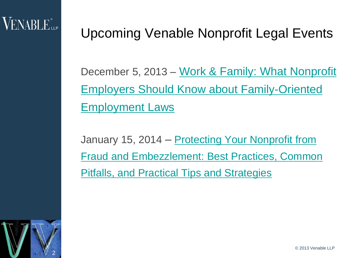#### Upcoming Venable Nonprofit Legal Events

December 5, 2013 – [Work & Family: What Nonprofit](http://www.venable.com/work--family-what-nonprofit-employers-should-know-about-family-oriented-employment-laws-12-05-2013/)  [Employers Should Know about Family-Oriented](http://www.venable.com/work--family-what-nonprofit-employers-should-know-about-family-oriented-employment-laws-12-05-2013/)  [Employment Laws](http://www.venable.com/work--family-what-nonprofit-employers-should-know-about-family-oriented-employment-laws-12-05-2013/) 

January 15, 2014 – Protecting Your Nonprofit from [Fraud and Embezzlement: Best Practices, Common](http://www.venable.com/protecting-your-nonprofit-from-fraud-and-embezzlement-best-practices-common-pitfalls-and-practical-tips-and-strategies-01-15-2014/)  [Pitfalls, and Practical Tips and Strategies](http://www.venable.com/protecting-your-nonprofit-from-fraud-and-embezzlement-best-practices-common-pitfalls-and-practical-tips-and-strategies-01-15-2014/)

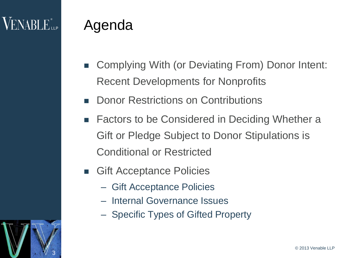3

#### Agenda

- Complying With (or Deviating From) Donor Intent: Recent Developments for Nonprofits
- Donor Restrictions on Contributions
- Factors to be Considered in Deciding Whether a Gift or Pledge Subject to Donor Stipulations is Conditional or Restricted
- **Gift Acceptance Policies** 
	- Gift Acceptance Policies
	- Internal Governance Issues
	- Specific Types of Gifted Property

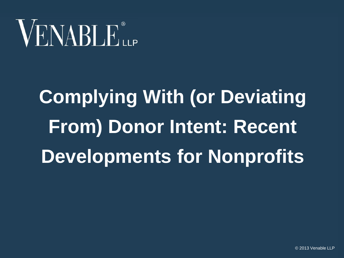# VENABLE<sup>®</sup>

# **Complying With (or Deviating From) Donor Intent: Recent Developments for Nonprofits**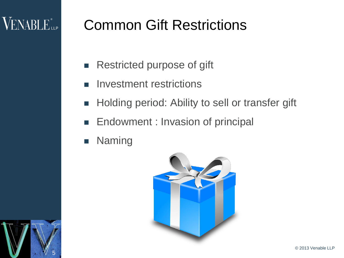### **VENABLE** LLP

5

#### Common Gift Restrictions

- **Restricted purpose of gift**
- Investment restrictions
- **Holding period: Ability to sell or transfer gift**
- **Endowment : Invasion of principal**
- **Naming**

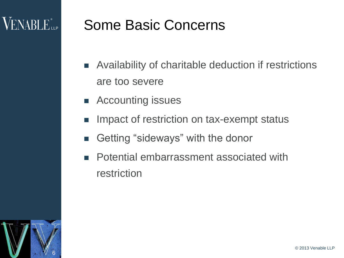#### Some Basic Concerns

- Availability of charitable deduction if restrictions are too severe
- **EXECOUNTER ISSUES**
- Impact of restriction on tax-exempt status
- Getting "sideways" with the donor
- **Potential embarrassment associated with** restriction

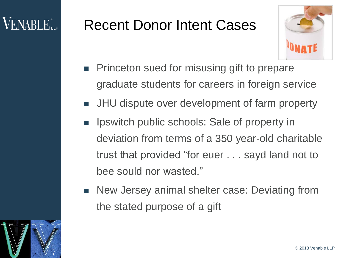### VENABLE"...

#### Recent Donor Intent Cases



- **Princeton sued for misusing gift to prepare** graduate students for careers in foreign service
- **JHU** dispute over development of farm property
- **If** Ipswitch public schools: Sale of property in deviation from terms of a 350 year-old charitable trust that provided "for euer . . . sayd land not to bee sould nor wasted."
- New Jersey animal shelter case: Deviating from the stated purpose of a gift

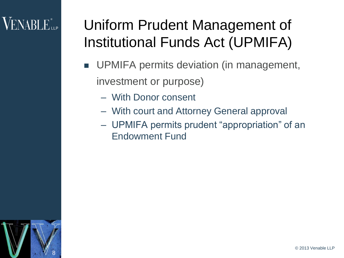### $\mathsf{VENABLE}_{\mathsf{LP}}^*$

### Uniform Prudent Management of Institutional Funds Act (UPMIFA)

- UPMIFA permits deviation (in management, investment or purpose)
	- With Donor consent
	- With court and Attorney General approval
	- UPMIFA permits prudent "appropriation" of an Endowment Fund

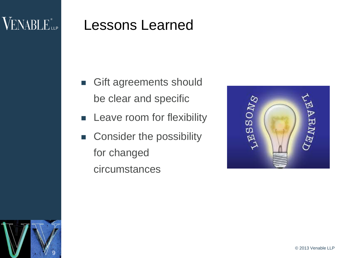#### VENABLE<sup>®</sup>LLP

9

#### Lessons Learned

- **Gift agreements should** be clear and specific
- Leave room for flexibility
- Consider the possibility for changed circumstances

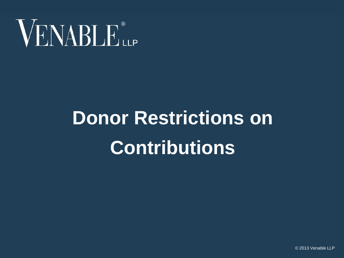

# **Donor Restrictions on Contributions**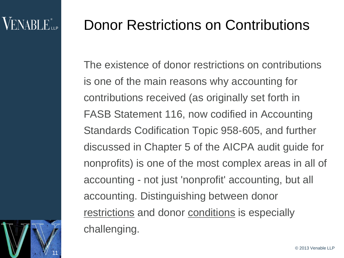11

#### Donor Restrictions on Contributions

The existence of donor restrictions on contributions is one of the main reasons why accounting for contributions received (as originally set forth in FASB Statement 116, now codified in Accounting Standards Codification Topic 958-605, and further discussed in Chapter 5 of the AICPA audit guide for nonprofits) is one of the most complex areas in all of accounting - not just 'nonprofit' accounting, but all accounting. Distinguishing between donor restrictions and donor conditions is especially challenging.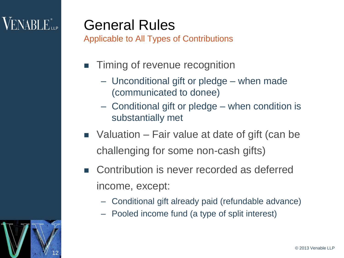### **VENABLE**<sup>®</sup>LLP

12

#### General Rules

Applicable to All Types of Contributions

- **Timing of revenue recognition** 
	- Unconditional gift or pledge when made (communicated to donee)
	- Conditional gift or pledge when condition is substantially met
- $\blacksquare$  Valuation Fair value at date of gift (can be challenging for some non-cash gifts)
- Contribution is never recorded as deferred income, except:
	- Conditional gift already paid (refundable advance)
	- Pooled income fund (a type of split interest)

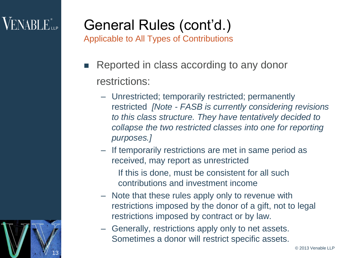### $\sf{VENABLE}^*$

13

## General Rules (cont'd.)

Applicable to All Types of Contributions

- Reported in class according to any donor restrictions:
	- Unrestricted; temporarily restricted; permanently restricted *[Note - FASB is currently considering revisions to this class structure. They have tentatively decided to collapse the two restricted classes into one for reporting purposes.]*
	- If temporarily restrictions are met in same period as received, may report as unrestricted
		- If this is done, must be consistent for all such contributions and investment income
	- Note that these rules apply only to revenue with restrictions imposed by the donor of a gift, not to legal restrictions imposed by contract or by law.
	- Generally, restrictions apply only to net assets. Sometimes a donor will restrict specific assets.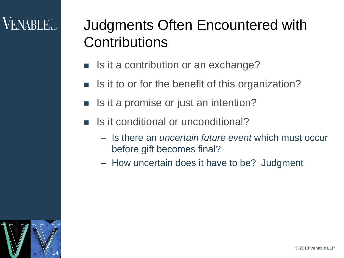### Judgments Often Encountered with **Contributions**

- $\blacksquare$  Is it a contribution or an exchange?
- $\blacksquare$  Is it to or for the benefit of this organization?
- Is it a promise or just an intention?
- $\blacksquare$  Is it conditional or unconditional?
	- Is there an *uncertain future event* which must occur before gift becomes final?
	- How uncertain does it have to be? Judgment

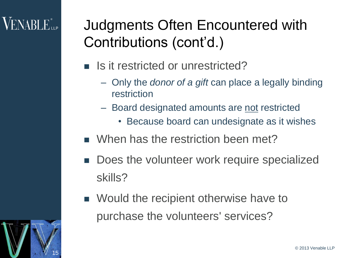15

### Judgments Often Encountered with Contributions (cont'd.)

- Is it restricted or unrestricted?
	- Only the *donor of a gift* can place a legally binding restriction
	- Board designated amounts are not restricted
		- Because board can undesignate as it wishes
- When has the restriction been met?
- Does the volunteer work require specialized skills?
- Would the recipient otherwise have to purchase the volunteers' services?

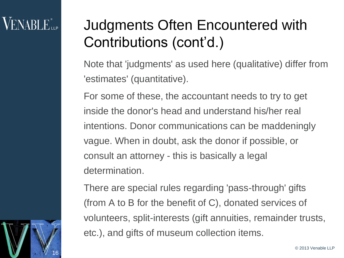16

### Judgments Often Encountered with Contributions (cont'd.)

Note that 'judgments' as used here (qualitative) differ from 'estimates' (quantitative).

For some of these, the accountant needs to try to get inside the donor's head and understand his/her real intentions. Donor communications can be maddeningly vague. When in doubt, ask the donor if possible, or consult an attorney - this is basically a legal determination.

There are special rules regarding 'pass-through' gifts (from A to B for the benefit of C), donated services of volunteers, split-interests (gift annuities, remainder trusts, etc.), and gifts of museum collection items.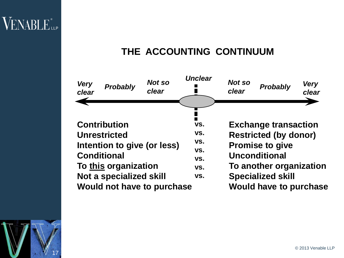17

#### **THE ACCOUNTING CONTINUUM**



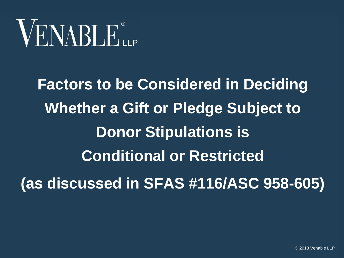**Factors to be Considered in Deciding Whether a Gift or Pledge Subject to Donor Stipulations is Conditional or Restricted (as discussed in SFAS #116/ASC 958-605)**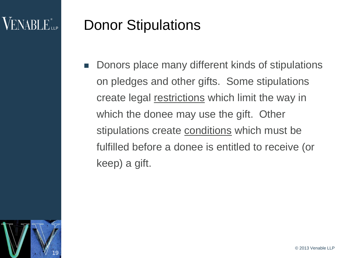#### $VENABI$   $E_{\perp P}$

#### Donor Stipulations

■ Donors place many different kinds of stipulations on pledges and other gifts. Some stipulations create legal restrictions which limit the way in which the donee may use the gift. Other stipulations create conditions which must be fulfilled before a donee is entitled to receive (or keep) a gift.

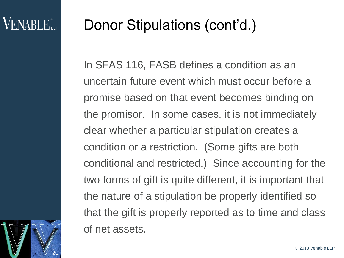20

#### Donor Stipulations (cont'd.)

In SFAS 116, FASB defines a condition as an uncertain future event which must occur before a promise based on that event becomes binding on the promisor. In some cases, it is not immediately clear whether a particular stipulation creates a condition or a restriction. (Some gifts are both conditional and restricted.) Since accounting for the two forms of gift is quite different, it is important that the nature of a stipulation be properly identified so that the gift is properly reported as to time and class of net assets.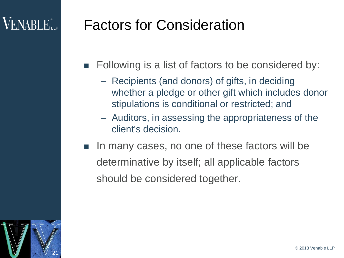#### VENABLE".

#### Factors for Consideration

- **Following is a list of factors to be considered by:** 
	- Recipients (and donors) of gifts, in deciding whether a pledge or other gift which includes donor stipulations is conditional or restricted; and
	- Auditors, in assessing the appropriateness of the client's decision.
- In many cases, no one of these factors will be determinative by itself; all applicable factors should be considered together.

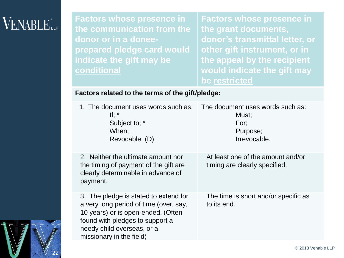#### **VENABLE**<sup>®</sup>

**Factors whose presence in the communication from the donor or in a doneeprepared pledge card would indicate the gift may be conditional** 

**Factors whose presence in the grant documents, donor's transmittal letter, or other gift instrument, or in the appeal by the recipient would indicate the gift may be restricted**

#### **Factors related to the terms of the gift/pledge:**

| 1. The document uses words such as:<br>If: $*$<br>Subject to; *<br>When;<br>Revocable. (D)                                                                                                                         | The document uses words such as:<br>Must;<br>For:<br>Purpose;<br>Irrevocable. |
|--------------------------------------------------------------------------------------------------------------------------------------------------------------------------------------------------------------------|-------------------------------------------------------------------------------|
| 2. Neither the ultimate amount nor<br>the timing of payment of the gift are<br>clearly determinable in advance of<br>payment.                                                                                      | At least one of the amount and/or<br>timing are clearly specified.            |
| 3. The pledge is stated to extend for<br>a very long period of time (over, say,<br>10 years) or is open-ended. (Often<br>found with pledges to support a<br>needy child overseas, or a<br>missionary in the field) | The time is short and/or specific as<br>to its end.                           |

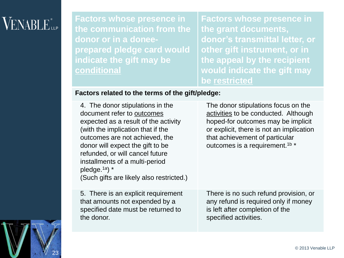**Factors whose presence in the communication from the donor or in a doneeprepared pledge card would indicate the gift may be conditional** 

**Factors whose presence in the grant documents, donor's transmittal letter, or other gift instrument, or in the appeal by the recipient would indicate the gift may be restricted**

#### **Factors related to the terms of the gift/pledge:**

4. The donor stipulations in the document refer to outcomes expected as a result of the activity (with the implication that if the outcomes are not achieved, the donor will expect the gift to be refunded, or will cancel future installments of a multi-period pledge.1a) \* (Such gifts are likely also restricted.)

The donor stipulations focus on the activities to be conducted. Although hoped-for outcomes may be implicit or explicit, there is not an implication that achievement of particular outcomes is a requirement.<sup>1b \*</sup>

5. There is an explicit requirement that amounts not expended by a specified date must be returned to the donor.

There is no such refund provision, or any refund is required only if money is left after completion of the specified activities.

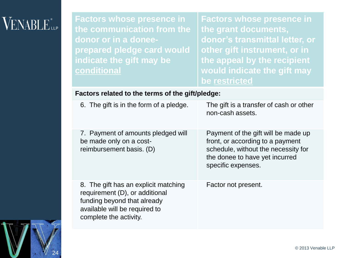#### **VENABLE**<sup>®</sup>

**Factors whose presence in the communication from the donor or in a doneeprepared pledge card would indicate the gift may be conditional** 

**Factors whose presence in the grant documents, donor's transmittal letter, or other gift instrument, or in the appeal by the recipient would indicate the gift may be restricted**

#### **Factors related to the terms of the gift/pledge:**

| 6. The gift is in the form of a pledge.                                                                                                                          | The gift is a transfer of cash or other<br>non-cash assets.                                                                                                            |
|------------------------------------------------------------------------------------------------------------------------------------------------------------------|------------------------------------------------------------------------------------------------------------------------------------------------------------------------|
| 7. Payment of amounts pledged will<br>be made only on a cost-<br>reimbursement basis. (D)                                                                        | Payment of the gift will be made up<br>front, or according to a payment<br>schedule, without the necessity for<br>the donee to have yet incurred<br>specific expenses. |
| 8. The gift has an explicit matching<br>requirement (D), or additional<br>funding beyond that already<br>available will be required to<br>complete the activity. | Factor not present.                                                                                                                                                    |

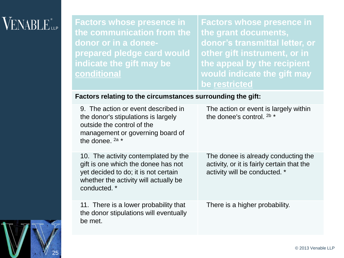#### **VENABLE** LLP

25

**Factors whose presence in the communication from the donor or in a doneeprepared pledge card would indicate the gift may be conditional** 

**Factors whose presence in the grant documents, donor's transmittal letter, or other gift instrument, or in the appeal by the recipient would indicate the gift may be restricted**

#### **Factors relating to the circumstances surrounding the gift:**

| 9. The action or event described in<br>the donor's stipulations is largely<br>outside the control of the<br>management or governing board of<br>the donee. $2a *$            | The action or event is largely within<br>the donee's control. $2b *$                                               |
|------------------------------------------------------------------------------------------------------------------------------------------------------------------------------|--------------------------------------------------------------------------------------------------------------------|
| 10. The activity contemplated by the<br>gift is one which the donee has not<br>yet decided to do; it is not certain<br>whether the activity will actually be<br>conducted. * | The donee is already conducting the<br>activity, or it is fairly certain that the<br>activity will be conducted. * |
| 11. There is a lower probability that<br>the donor stipulations will eventually<br>be met.                                                                                   | There is a higher probability.                                                                                     |

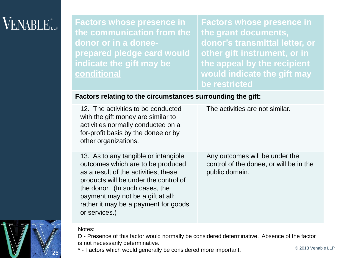#### $VENABLE_{\scriptscriptstyle{\text{LLP}}}$

**Factors whose presence in the communication from the donor or in a doneeprepared pledge card would indicate the gift may be conditional** 

**Factors whose presence in the grant documents, donor's transmittal letter, or other gift instrument, or in the appeal by the recipient would indicate the gift may be restricted**

#### **Factors relating to the circumstances surrounding the gift:**

| 12. The activities to be conducted<br>with the gift money are similar to<br>activities normally conducted on a<br>for-profit basis by the donee or by<br>other organizations.                                                                                                              | The activities are not similar.                                                             |
|--------------------------------------------------------------------------------------------------------------------------------------------------------------------------------------------------------------------------------------------------------------------------------------------|---------------------------------------------------------------------------------------------|
| 13. As to any tangible or intangible<br>outcomes which are to be produced<br>as a result of the activities, these<br>products will be under the control of<br>the donor. (In such cases, the<br>payment may not be a gift at all;<br>rather it may be a payment for goods<br>or services.) | Any outcomes will be under the<br>control of the donee, or will be in the<br>public domain. |



26

D - Presence of this factor would normally be considered determinative. Absence of the factor is not necessarily determinative.

\* - Factors which would generally be considered more important.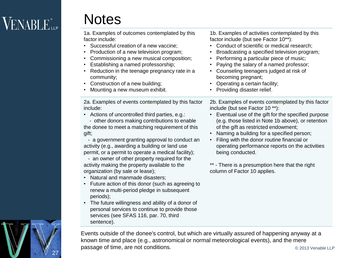## $\sf{VENABLE}^*_{\sf{LP}}$

#### **Notes**

services (see SFAS 116, par. 70, third

sentence).

1a. Examples of outcomes contemplated by this factor include: • Successful creation of a new vaccine; • Production of a new television program; • Commissioning a new musical composition; • Establishing a named professorship; • Reduction in the teenage pregnancy rate in a community; • Construction of a new building; • Mounting a new museum exhibit. 1b. Examples of activities contemplated by this factor include (but see Factor 10\*\*): • Conduct of scientific or medical research; • Broadcasting a specified television program; • Performing a particular piece of music; • Paying the salary of a named professor; • Counseling teenagers judged at risk of becoming pregnant; • Operating a certain facility; • Providing disaster relief. 2a. Examples of events contemplated by this factor include: • Actions of uncontrolled third parties, e.g.: - other donors making contributions to enable the donee to meet a matching requirement of this gift; - a government granting approval to conduct an activity (e.g., awarding a building or land use permit, or a permit to operate a medical facility); - an owner of other property required for the activity making the property available to the organization (by sale or lease); • Natural and manmade disasters; • Future action of this donor (such as agreeing to renew a multi-period pledge in subsequent periods); • The future willingness and ability of a donor of personal services to continue to provide those 2b. Examples of events contemplated by this factor include (but see Factor 10 \*\*): • Eventual use of the gift for the specified purpose (e.g. those listed in Note 1b above), or retention of the gift as restricted endowment; • Naming a building for a specified person; • Filing with the donor routine financial or operating performance reports on the activities being conducted. \*\* - There is a presumption here that the right column of Factor 10 applies.

27

© 2013 Venable LLP Events outside of the donee's control, but which are virtually assured of happening anyway at a known time and place (e.g., astronomical or normal meteorological events), and the mere passage of time, are not conditions.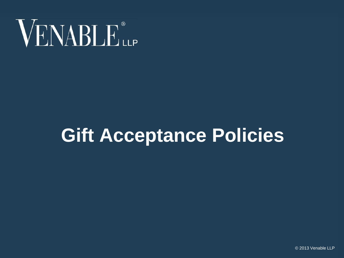

## **Gift Acceptance Policies**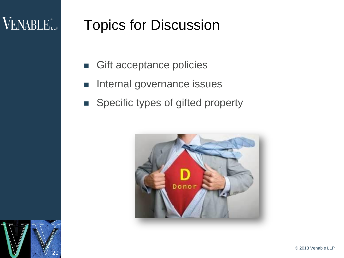#### VENABLE<sup>®</sup>

#### Topics for Discussion

- Gift acceptance policies
- Internal governance issues
- **Specific types of gifted property**



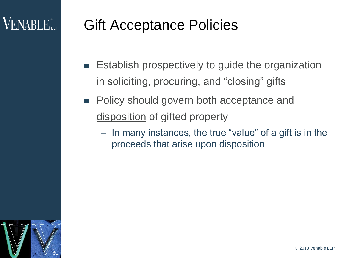#### Gift Acceptance Policies

- **E** Establish prospectively to guide the organization in soliciting, procuring, and "closing" gifts
- **Policy should govern both acceptance and** disposition of gifted property
	- In many instances, the true "value" of a gift is in the proceeds that arise upon disposition

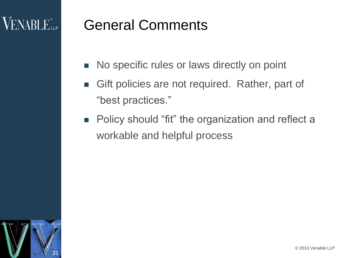#### General Comments

- No specific rules or laws directly on point
- **Gift policies are not required. Rather, part of** "best practices."
- **Policy should "fit" the organization and reflect a** workable and helpful process

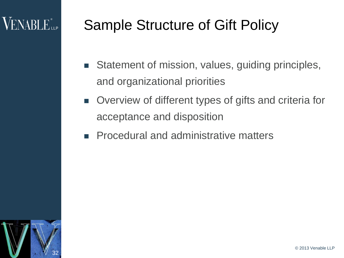### Sample Structure of Gift Policy

- **Statement of mission, values, guiding principles,** and organizational priorities
- Overview of different types of gifts and criteria for acceptance and disposition
- **Procedural and administrative matters**

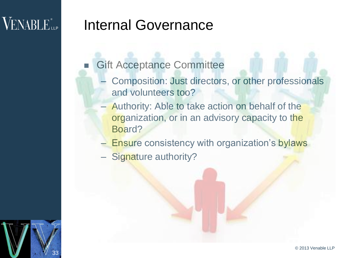#### VENABLE<sup>®</sup>LLP

33

#### Internal Governance

- Gift Acceptance Committee
	- Composition: Just directors, or other professionals and volunteers too?
	- Authority: Able to take action on behalf of the organization, or in an advisory capacity to the Board?
	- Ensure consistency with organization's bylaws
	- Signature authority?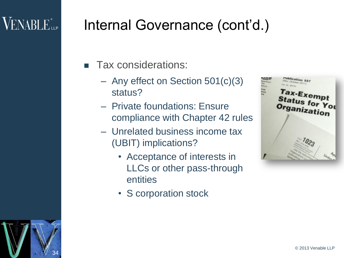#### $\sf{VENABLE}^*_{\sf{LP}}$

34

#### Internal Governance (cont'd.)

- Tax considerations:
	- Any effect on Section 501(c)(3) status?
	- Private foundations: Ensure compliance with Chapter 42 rules
	- Unrelated business income tax (UBIT) implications?
		- Acceptance of interests in LLCs or other pass-through entities
		- S corporation stock



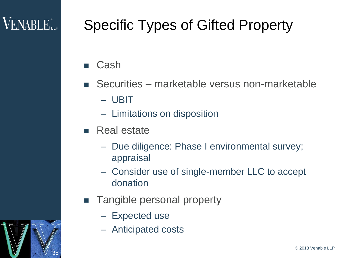35

### Specific Types of Gifted Property

- Cash
- Securities marketable versus non-marketable
	- UBIT
	- Limitations on disposition
- $\blacksquare$  Real estate
	- Due diligence: Phase I environmental survey; appraisal
	- Consider use of single-member LLC to accept donation
- **Tangible personal property** 
	- Expected use
	- Anticipated costs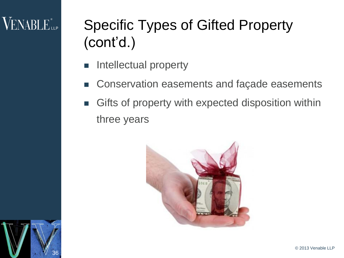#### $\rm VENABLE$  and  $\rm VENABLE$

## Specific Types of Gifted Property (cont'd.)

- Intellectual property
- Conservation easements and façade easements
- Gifts of property with expected disposition within three years